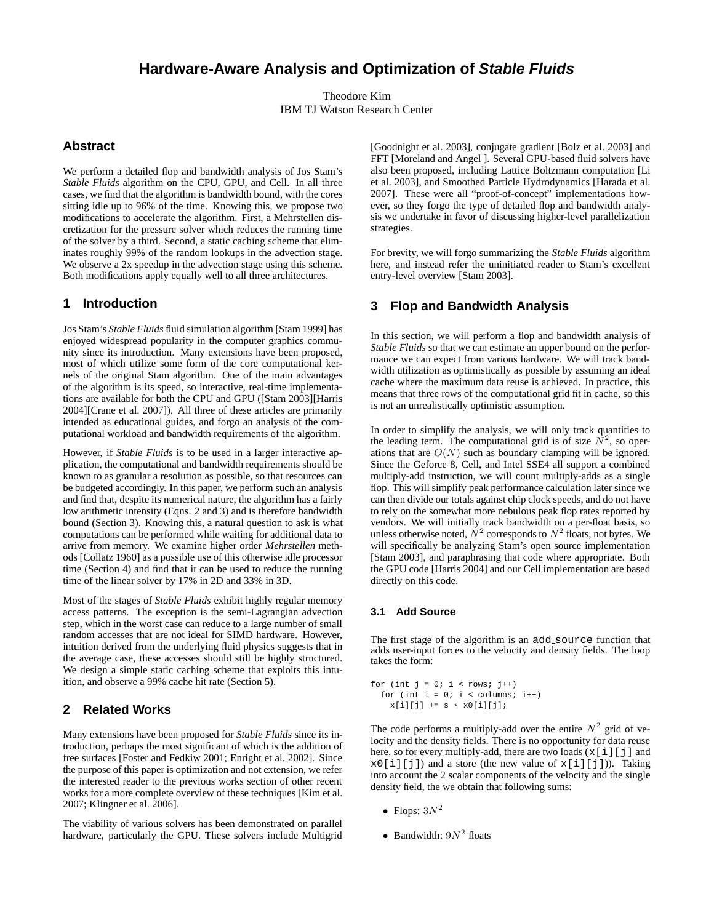# **Hardware-Aware Analysis and Optimization of Stable Fluids**

Theodore Kim IBM TJ Watson Research Center

### **Abstract**

We perform a detailed flop and bandwidth analysis of Jos Stam's *Stable Fluids* algorithm on the CPU, GPU, and Cell. In all three cases, we find that the algorithm is bandwidth bound, with the cores sitting idle up to 96% of the time. Knowing this, we propose two modifications to accelerate the algorithm. First, a Mehrstellen discretization for the pressure solver which reduces the running time of the solver by a third. Second, a static caching scheme that eliminates roughly 99% of the random lookups in the advection stage. We observe a 2x speedup in the advection stage using this scheme. Both modifications apply equally well to all three architectures.

### **1 Introduction**

Jos Stam's *Stable Fluids* fluid simulation algorithm [Stam 1999] has enjoyed widespread popularity in the computer graphics community since its introduction. Many extensions have been proposed, most of which utilize some form of the core computational kernels of the original Stam algorithm. One of the main advantages of the algorithm is its speed, so interactive, real-time implementations are available for both the CPU and GPU ([Stam 2003][Harris 2004][Crane et al. 2007]). All three of these articles are primarily intended as educational guides, and forgo an analysis of the computational workload and bandwidth requirements of the algorithm.

However, if *Stable Fluids* is to be used in a larger interactive application, the computational and bandwidth requirements should be known to as granular a resolution as possible, so that resources can be budgeted accordingly. In this paper, we perform such an analysis and find that, despite its numerical nature, the algorithm has a fairly low arithmetic intensity (Eqns. 2 and 3) and is therefore bandwidth bound (Section 3). Knowing this, a natural question to ask is what computations can be performed while waiting for additional data to arrive from memory. We examine higher order *Mehrstellen* methods [Collatz 1960] as a possible use of this otherwise idle processor time (Section 4) and find that it can be used to reduce the running time of the linear solver by 17% in 2D and 33% in 3D.

Most of the stages of *Stable Fluids* exhibit highly regular memory access patterns. The exception is the semi-Lagrangian advection step, which in the worst case can reduce to a large number of small random accesses that are not ideal for SIMD hardware. However, intuition derived from the underlying fluid physics suggests that in the average case, these accesses should still be highly structured. We design a simple static caching scheme that exploits this intuition, and observe a 99% cache hit rate (Section 5).

## **2 Related Works**

Many extensions have been proposed for *Stable Fluids* since its introduction, perhaps the most significant of which is the addition of free surfaces [Foster and Fedkiw 2001; Enright et al. 2002]. Since the purpose of this paper is optimization and not extension, we refer the interested reader to the previous works section of other recent works for a more complete overview of these techniques [Kim et al. 2007; Klingner et al. 2006].

The viability of various solvers has been demonstrated on parallel hardware, particularly the GPU. These solvers include Multigrid

[Goodnight et al. 2003], conjugate gradient [Bolz et al. 2003] and FFT [Moreland and Angel ]. Several GPU-based fluid solvers have also been proposed, including Lattice Boltzmann computation [Li et al. 2003], and Smoothed Particle Hydrodynamics [Harada et al. 2007]. These were all "proof-of-concept" implementations however, so they forgo the type of detailed flop and bandwidth analysis we undertake in favor of discussing higher-level parallelization strategies.

For brevity, we will forgo summarizing the *Stable Fluids* algorithm here, and instead refer the uninitiated reader to Stam's excellent entry-level overview [Stam 2003].

### **3 Flop and Bandwidth Analysis**

In this section, we will perform a flop and bandwidth analysis of *Stable Fluids* so that we can estimate an upper bound on the performance we can expect from various hardware. We will track bandwidth utilization as optimistically as possible by assuming an ideal cache where the maximum data reuse is achieved. In practice, this means that three rows of the computational grid fit in cache, so this is not an unrealistically optimistic assumption.

In order to simplify the analysis, we will only track quantities to the leading term. The computational grid is of size  $N^2$ , so operations that are  $O(N)$  such as boundary clamping will be ignored. Since the Geforce 8, Cell, and Intel SSE4 all support a combined multiply-add instruction, we will count multiply-adds as a single flop. This will simplify peak performance calculation later since we can then divide our totals against chip clock speeds, and do not have to rely on the somewhat more nebulous peak flop rates reported by vendors. We will initially track bandwidth on a per-float basis, so unless otherwise noted,  $N^2$  corresponds to  $N^2$  floats, not bytes. We will specifically be analyzing Stam's open source implementation [Stam 2003], and paraphrasing that code where appropriate. Both the GPU code [Harris 2004] and our Cell implementation are based directly on this code.

#### **3.1 Add Source**

The first stage of the algorithm is an add\_source function that adds user-input forces to the velocity and density fields. The loop takes the form:

for (int  $j = 0$ ;  $i <$  rows;  $j++$ ) for (int  $i = 0$ ;  $i <$  columns;  $i++)$  $x[i][j]$  += s \*  $x0[i][j];$ 

The code performs a multiply-add over the entire  $N^2$  grid of velocity and the density fields. There is no opportunity for data reuse here, so for every multiply-add, there are two loads  $(x[i][j]$  and  $x0[i][j])$  and a store (the new value of  $x[i][j])$ ). Taking into account the 2 scalar components of the velocity and the single density field, the we obtain that following sums:

- Flops:  $3N^2$
- Bandwidth:  $9N^2$  floats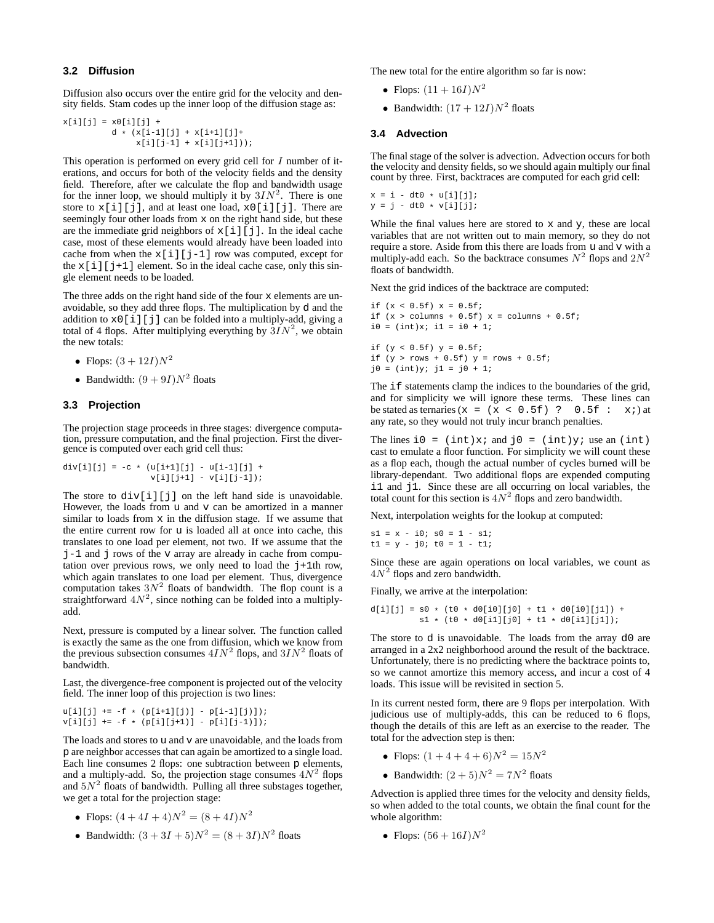#### **3.2 Diffusion**

Diffusion also occurs over the entire grid for the velocity and density fields. Stam codes up the inner loop of the diffusion stage as:

```
x[i][j] = x0[i][j] +d * (x[i-1][j] + x[i+1][j] +x[i][j-1] + x[i][j+1]);
```
This operation is performed on every grid cell for  $I$  number of iterations, and occurs for both of the velocity fields and the density field. Therefore, after we calculate the flop and bandwidth usage for the inner loop, we should multiply it by  $3IN^2$ . There is one store to  $x[i][j]$ , and at least one load,  $x[1][j]$ . There are seemingly four other loads from x on the right hand side, but these are the immediate grid neighbors of  $x[i][j]$ . In the ideal cache case, most of these elements would already have been loaded into cache from when the  $x[i][j-1]$  row was computed, except for the  $x[i][j+1]$  element. So in the ideal cache case, only this single element needs to be loaded.

The three adds on the right hand side of the four x elements are unavoidable, so they add three flops. The multiplication by d and the addition to  $x0$ [i][j] can be folded into a multiply-add, giving a total of 4 flops. After multiplying everything by  $3IN^2$ , we obtain the new totals:

- Flops:  $(3 + 12I)N^2$
- Bandwidth:  $(9+9I)N^2$  floats

### **3.3 Projection**

The projection stage proceeds in three stages: divergence computation, pressure computation, and the final projection. First the divergence is computed over each grid cell thus:

div[i][j] = -c \* (u[i+1][j] - u[i-1][j] + v[i][j+1] - v[i][j-1]);

The store to  $div[i][j]$  on the left hand side is unavoidable. However, the loads from u and v can be amortized in a manner similar to loads from  $x$  in the diffusion stage. If we assume that the entire current row for u is loaded all at once into cache, this translates to one load per element, not two. If we assume that the  $j-1$  and j rows of the v array are already in cache from computation over previous rows, we only need to load the  $j+1$ th row, which again translates to one load per element. Thus, divergence computation takes  $3N^2$  floats of bandwidth. The flop count is a straightforward  $4N^2$ , since nothing can be folded into a multiplyadd.

Next, pressure is computed by a linear solver. The function called is exactly the same as the one from diffusion, which we know from the previous subsection consumes  $4IN^2$  flops, and  $3IN^2$  floats of bandwidth.

Last, the divergence-free component is projected out of the velocity field. The inner loop of this projection is two lines:

```
u[i][j] += -f * (p[i+1][j)] - p[i-1][j)];
v[i][j] += -f * (p[i][j+1)] - p[i][j-1)];
```
The loads and stores to u and v are unavoidable, and the loads from p are neighbor accesses that can again be amortized to a single load. Each line consumes 2 flops: one subtraction between p elements, and a multiply-add. So, the projection stage consumes  $4N^2$  flops and  $5N^2$  floats of bandwidth. Pulling all three substages together, we get a total for the projection stage:

- Flops:  $(4+4I+4)N^2 = (8+4I)N^2$
- Bandwidth:  $(3 + 3I + 5)N^2 = (8 + 3I)N^2$  floats

The new total for the entire algorithm so far is now:

- Flops:  $(11 + 16I)N^2$
- Bandwidth:  $(17 + 12I)N^2$  floats

#### **3.4 Advection**

The final stage of the solver is advection. Advection occurs for both the velocity and density fields, so we should again multiply our final count by three. First, backtraces are computed for each grid cell:

 $x = i - dt0 * u[i][j];$  $y = j - dt0 * v[i][j];$ 

While the final values here are stored to  $x$  and  $y$ , these are local variables that are not written out to main memory, so they do not require a store. Aside from this there are loads from u and v with a multiply-add each. So the backtrace consumes  $N^2$  flops and  $2N^2$ floats of bandwidth.

Next the grid indices of the backtrace are computed:

```
if (x < 0.5f) x = 0.5f;
if (x > columns + 0.5f) x = columns + 0.5f;
i0 = (int)x; i1 = i0 + 1;
```
if  $(y < 0.5f)$   $y = 0.5f$ ; if  $(y > rows + 0.5f)$   $y = rows + 0.5f$ ;  $j0 = (int)y; j1 = j0 + 1;$ 

The if statements clamp the indices to the boundaries of the grid, and for simplicity we will ignore these terms. These lines can be stated as ternaries  $(x = (x < 0.5f)$  ? 0.5f :  $x$ ; at any rate, so they would not truly incur branch penalties.

The lines  $i0 = (int)x$ ; and  $j0 = (int)y$ ; use an (int) cast to emulate a floor function. For simplicity we will count these as a flop each, though the actual number of cycles burned will be library-dependant. Two additional flops are expended computing i1 and j1. Since these are all occurring on local variables, the total count for this section is  $4N^2$  flops and zero bandwidth.

Next, interpolation weights for the lookup at computed:

 $s1 = x - i0; s0 = 1 - s1;$  $t1 = y - j0; t0 = 1 - t1;$ 

Since these are again operations on local variables, we count as  $4N<sup>2</sup>$  flops and zero bandwidth.

Finally, we arrive at the interpolation:

 $d[i][j] = s0 * (t0 * d0[i0][j0] + t1 * d0[i0][j1]) +$  $s1 * (t0 * d0[i1][j0] + t1 * d0[i1][j1]);$ 

The store to d is unavoidable. The loads from the array d0 are arranged in a 2x2 neighborhood around the result of the backtrace. Unfortunately, there is no predicting where the backtrace points to, so we cannot amortize this memory access, and incur a cost of 4 loads. This issue will be revisited in section 5.

In its current nested form, there are 9 flops per interpolation. With judicious use of multiply-adds, this can be reduced to 6 flops, though the details of this are left as an exercise to the reader. The total for the advection step is then:

- Flops:  $(1+4+4+6)N^2 = 15N^2$
- Bandwidth:  $(2+5)N^2 = 7N^2$  floats

Advection is applied three times for the velocity and density fields, so when added to the total counts, we obtain the final count for the whole algorithm:

• Flops:  $(56 + 16I)N^2$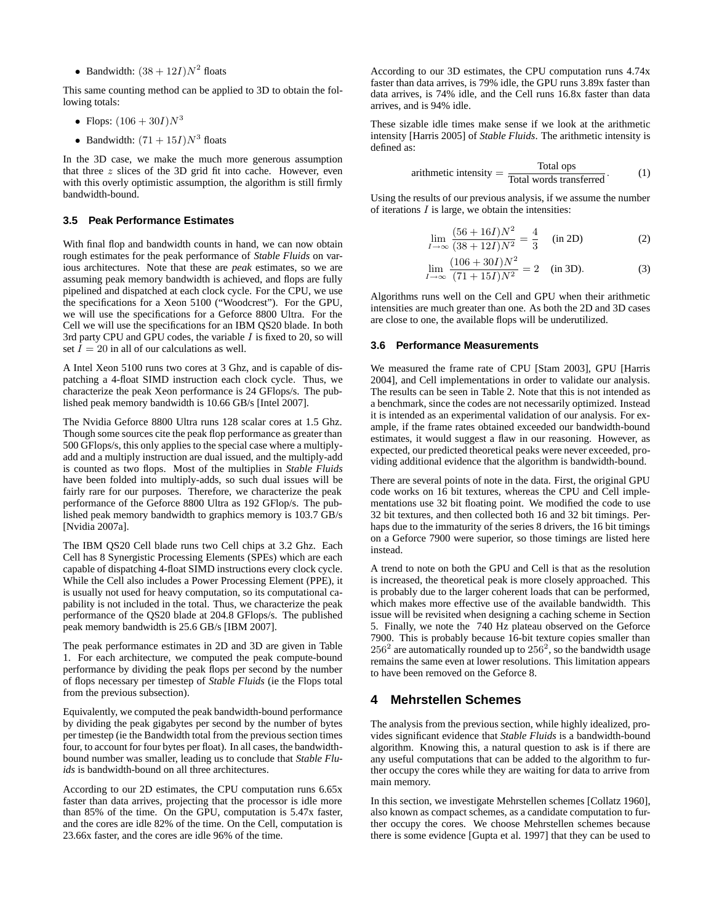• Bandwidth:  $(38 + 12I)N^2$  floats

This same counting method can be applied to 3D to obtain the following totals:

- Flops:  $(106 + 30I)N^3$
- Bandwidth:  $(71 + 15I)N^3$  floats

In the 3D case, we make the much more generous assumption that three  $z$  slices of the 3D grid fit into cache. However, even with this overly optimistic assumption, the algorithm is still firmly bandwidth-bound.

### **3.5 Peak Performance Estimates**

With final flop and bandwidth counts in hand, we can now obtain rough estimates for the peak performance of *Stable Fluids* on various architectures. Note that these are *peak* estimates, so we are assuming peak memory bandwidth is achieved, and flops are fully pipelined and dispatched at each clock cycle. For the CPU, we use the specifications for a Xeon 5100 ("Woodcrest"). For the GPU, we will use the specifications for a Geforce 8800 Ultra. For the Cell we will use the specifications for an IBM QS20 blade. In both 3rd party CPU and GPU codes, the variable  $I$  is fixed to 20, so will set  $\overline{I} = 20$  in all of our calculations as well.

A Intel Xeon 5100 runs two cores at 3 Ghz, and is capable of dispatching a 4-float SIMD instruction each clock cycle. Thus, we characterize the peak Xeon performance is 24 GFlops/s. The published peak memory bandwidth is 10.66 GB/s [Intel 2007].

The Nvidia Geforce 8800 Ultra runs 128 scalar cores at 1.5 Ghz. Though some sources cite the peak flop performance as greater than 500 GFlops/s, this only applies to the special case where a multiplyadd and a multiply instruction are dual issued, and the multiply-add is counted as two flops. Most of the multiplies in *Stable Fluids* have been folded into multiply-adds, so such dual issues will be fairly rare for our purposes. Therefore, we characterize the peak performance of the Geforce 8800 Ultra as 192 GFlop/s. The published peak memory bandwidth to graphics memory is 103.7 GB/s [Nvidia 2007a].

The IBM QS20 Cell blade runs two Cell chips at 3.2 Ghz. Each Cell has 8 Synergistic Processing Elements (SPEs) which are each capable of dispatching 4-float SIMD instructions every clock cycle. While the Cell also includes a Power Processing Element (PPE), it is usually not used for heavy computation, so its computational capability is not included in the total. Thus, we characterize the peak performance of the QS20 blade at 204.8 GFlops/s. The published peak memory bandwidth is 25.6 GB/s [IBM 2007].

The peak performance estimates in 2D and 3D are given in Table 1. For each architecture, we computed the peak compute-bound performance by dividing the peak flops per second by the number of flops necessary per timestep of *Stable Fluids* (ie the Flops total from the previous subsection).

Equivalently, we computed the peak bandwidth-bound performance by dividing the peak gigabytes per second by the number of bytes per timestep (ie the Bandwidth total from the previous section times four, to account for four bytes per float). In all cases, the bandwidthbound number was smaller, leading us to conclude that *Stable Fluids* is bandwidth-bound on all three architectures.

According to our 2D estimates, the CPU computation runs 6.65x faster than data arrives, projecting that the processor is idle more than 85% of the time. On the GPU, computation is 5.47x faster, and the cores are idle 82% of the time. On the Cell, computation is 23.66x faster, and the cores are idle 96% of the time.

According to our 3D estimates, the CPU computation runs 4.74x faster than data arrives, is 79% idle, the GPU runs 3.89x faster than data arrives, is 74% idle, and the Cell runs 16.8x faster than data arrives, and is 94% idle.

These sizable idle times make sense if we look at the arithmetic intensity [Harris 2005] of *Stable Fluids*. The arithmetic intensity is defined as:

$$
arithmetic intensity = \frac{\text{Total ops}}{\text{Total words transferred}}.
$$
 (1)

Using the results of our previous analysis, if we assume the number of iterations  $I$  is large, we obtain the intensities:

$$
\lim_{I \to \infty} \frac{(56 + 16I)N^2}{(38 + 12I)N^2} = \frac{4}{3} \quad \text{(in 2D)} \tag{2}
$$

$$
\lim_{I \to \infty} \frac{(106 + 30I)N^2}{(71 + 15I)N^2} = 2
$$
 (in 3D). (3)

Algorithms runs well on the Cell and GPU when their arithmetic intensities are much greater than one. As both the 2D and 3D cases are close to one, the available flops will be underutilized.

#### **3.6 Performance Measurements**

We measured the frame rate of CPU [Stam 2003], GPU [Harris 2004], and Cell implementations in order to validate our analysis. The results can be seen in Table 2. Note that this is not intended as a benchmark, since the codes are not necessarily optimized. Instead it is intended as an experimental validation of our analysis. For example, if the frame rates obtained exceeded our bandwidth-bound estimates, it would suggest a flaw in our reasoning. However, as expected, our predicted theoretical peaks were never exceeded, providing additional evidence that the algorithm is bandwidth-bound.

There are several points of note in the data. First, the original GPU code works on 16 bit textures, whereas the CPU and Cell implementations use 32 bit floating point. We modified the code to use 32 bit textures, and then collected both 16 and 32 bit timings. Perhaps due to the immaturity of the series 8 drivers, the 16 bit timings on a Geforce 7900 were superior, so those timings are listed here instead.

A trend to note on both the GPU and Cell is that as the resolution is increased, the theoretical peak is more closely approached. This is probably due to the larger coherent loads that can be performed, which makes more effective use of the available bandwidth. This issue will be revisited when designing a caching scheme in Section 5. Finally, we note the 740 Hz plateau observed on the Geforce 7900. This is probably because 16-bit texture copies smaller than  $256<sup>2</sup>$  are automatically rounded up to  $256<sup>2</sup>$ , so the bandwidth usage remains the same even at lower resolutions. This limitation appears to have been removed on the Geforce 8.

# **4 Mehrstellen Schemes**

The analysis from the previous section, while highly idealized, provides significant evidence that *Stable Fluids* is a bandwidth-bound algorithm. Knowing this, a natural question to ask is if there are any useful computations that can be added to the algorithm to further occupy the cores while they are waiting for data to arrive from main memory.

In this section, we investigate Mehrstellen schemes [Collatz 1960], also known as compact schemes, as a candidate computation to further occupy the cores. We choose Mehrstellen schemes because there is some evidence [Gupta et al. 1997] that they can be used to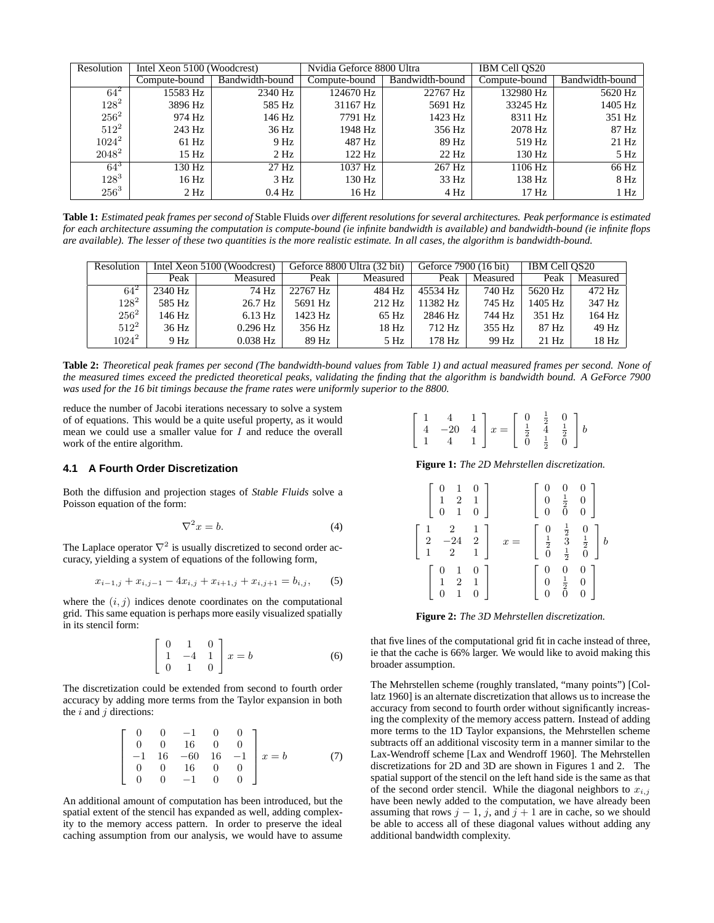| Resolution | Intel Xeon 5100 (Woodcrest) |                 | Nvidia Geforce 8800 Ultra |                 | IBM Cell OS20    |                 |
|------------|-----------------------------|-----------------|---------------------------|-----------------|------------------|-----------------|
|            | Compute-bound               | Bandwidth-bound | Compute-bound             | Bandwidth-bound | Compute-bound    | Bandwidth-bound |
| $64^2$     | 15583 Hz                    | 2340 Hz         | 124670 Hz                 | 22767 Hz        | 132980 Hz        | 5620 Hz         |
| $128^2$    | 3896 Hz                     | 585 Hz          | 31167 Hz                  | 5691 Hz         | 33245 Hz         | 1405 Hz         |
| $256^2$    | 974 Hz                      | 146 Hz          | 7791 Hz                   | 1423 Hz         | 8311 Hz          | 351 Hz          |
| $512^2$    | 243 Hz                      | 36 Hz           | 1948 Hz                   | 356 Hz          | 2078 Hz          | 87 Hz           |
| $1024^2$   | $61$ Hz                     | 9 Hz            | 487 Hz                    | 89 Hz           | 519 Hz           | 21 Hz           |
| $2048^2$   | 15 Hz                       | 2 Hz            | $122$ Hz                  | 22 Hz           | 130 Hz           | 5 Hz            |
| $64^{3}$   | 130 Hz                      | $27$ Hz         | 1037 Hz                   | 267 Hz          | 1106 Hz          | 66 Hz           |
| $128^{3}$  | 16 Hz                       | 3 Hz            | 130 Hz                    | 33 Hz           | 138 Hz           | 8 Hz            |
| $256^3$    | 2 Hz                        | $0.4$ Hz        | 16 Hz                     | 4 Hz            | 17 <sub>Hz</sub> | 1 Hz            |

**Table 1:** *Estimated peak frames per second of* Stable Fluids *over different resolutions for several architectures. Peak performance is estimated for each architecture assuming the computation is compute-bound (ie infinite bandwidth is available) and bandwidth-bound (ie infinite flops are available). The lesser of these two quantities is the more realistic estimate. In all cases, the algorithm is bandwidth-bound.*

| Resolution | Intel Xeon 5100 (Woodcrest) |            | Geforce 8800 Ultra (32 bit) |          | Geforce 7900 (16 bit) |          | IBM Cell OS20 |          |
|------------|-----------------------------|------------|-----------------------------|----------|-----------------------|----------|---------------|----------|
|            | Peak                        | Measured   | Peak                        | Measured | Peak                  | Measured | Peak          | Measured |
| $64^{2}$   | 2340 Hz                     | 74 Hz      | 22767 Hz                    | 484 Hz   | 45534 Hz              | 740 Hz   | 5620 Hz       | $472$ Hz |
| $128^2$    | 585 Hz                      | 26.7 Hz    | 5691 Hz                     | $212$ Hz | 11382 Hz              | 745 Hz   | 1405 Hz       | 347 Hz   |
| $256^2$    | 146 Hz                      | $6.13$ Hz  | 1423 Hz                     | 65 Hz    | 2846 Hz               | 744 Hz   | 351 Hz        | $164$ Hz |
| $512^2$    | 36 Hz                       | $0.296$ Hz | 356 Hz                      | 18 Hz    | 712 Hz                | 355 Hz   | 87 Hz         | $49$ Hz  |
| $1024^2$   | 9 Hz                        | $0.038$ Hz | 89 Hz                       | 5 Hz     | 178 Hz                | 99 Hz    | $21$ Hz       | $18$ Hz  |

**Table 2:** *Theoretical peak frames per second (The bandwidth-bound values from Table 1) and actual measured frames per second. None of the measured times exceed the predicted theoretical peaks, validating the finding that the algorithm is bandwidth bound. A GeForce 7900 was used for the 16 bit timings because the frame rates were uniformly superior to the 8800.*

reduce the number of Jacobi iterations necessary to solve a system of of equations. This would be a quite useful property, as it would mean we could use a smaller value for  $I$  and reduce the overall work of the entire algorithm.

#### **4.1 A Fourth Order Discretization**

Both the diffusion and projection stages of *Stable Fluids* solve a Poisson equation of the form:

$$
\nabla^2 x = b. \tag{4}
$$

The Laplace operator  $\nabla^2$  is usually discretized to second order accuracy, yielding a system of equations of the following form,

$$
x_{i-1,j} + x_{i,j-1} - 4x_{i,j} + x_{i+1,j} + x_{i,j+1} = b_{i,j},
$$
 (5)

where the  $(i, j)$  indices denote coordinates on the computational grid. This same equation is perhaps more easily visualized spatially in its stencil form:

$$
\begin{bmatrix} 0 & 1 & 0 \\ 1 & -4 & 1 \\ 0 & 1 & 0 \end{bmatrix} x = b \tag{6}
$$

The discretization could be extended from second to fourth order accuracy by adding more terms from the Taylor expansion in both the  $i$  and  $j$  directions:

$$
\begin{bmatrix}\n0 & 0 & -1 & 0 & 0 \\
0 & 0 & 16 & 0 & 0 \\
-1 & 16 & -60 & 16 & -1 \\
0 & 0 & 16 & 0 & 0 \\
0 & 0 & -1 & 0 & 0\n\end{bmatrix} x = b
$$
\n(7)

An additional amount of computation has been introduced, but the spatial extent of the stencil has expanded as well, adding complexity to the memory access pattern. In order to preserve the ideal caching assumption from our analysis, we would have to assume

| $\left[\begin{array}{ccc} 1 & 4 & 1 \\ 4 & -20 & 4 \\ 1 & 4 & 1 \end{array}\right]x = \left[\begin{array}{ccc} 0 & \frac{1}{2} & 0 \\ \frac{1}{2} & 4 & \frac{1}{2} \\ 0 & \frac{1}{2} & 0 \end{array}\right]b$ |  |  |  |  |  |  |  |
|-----------------------------------------------------------------------------------------------------------------------------------------------------------------------------------------------------------------|--|--|--|--|--|--|--|
|-----------------------------------------------------------------------------------------------------------------------------------------------------------------------------------------------------------------|--|--|--|--|--|--|--|

**Figure 1:** *The 2D Mehrstellen discretization.*

| $\left[\begin{array}{ccc} 0 & 1 & 0 \\ 1 & 2 & 1 \\ 0 & 1 & 0 \end{array}\right]$ |       |  | $\left[ \begin{array}{ccc} 0 & 0 & 0 \ 0 & \frac{1}{2} & 0 \ 0 & 0 & 0 \end{array} \right]$                                 |
|-----------------------------------------------------------------------------------|-------|--|-----------------------------------------------------------------------------------------------------------------------------|
| $\begin{bmatrix} 1 & 2 & 1 \\ 2 & -24 & 2 \\ 1 & 2 & 1 \end{bmatrix}$             | $x =$ |  | $\left[ \begin{array}{ccc} 0 & \frac{1}{2} & 0 \\ \frac{1}{2} & 3 & \frac{1}{2} \\ 0 & \frac{1}{2} & 0 \end{array} \right]$ |
| $\begin{array}{ccc} 0 & 1 & 0 \\ 1 & 2 & 1 \\ 0 & 1 & 0 \end{array}$              |       |  | $\left[ \begin{array}{ccc} 0 & 0 & 0 \ 0 & \frac{1}{2} & 0 \ 0 & 0 & 0 \end{array} \right]$                                 |

**Figure 2:** *The 3D Mehrstellen discretization.*

that five lines of the computational grid fit in cache instead of three, ie that the cache is 66% larger. We would like to avoid making this broader assumption.

The Mehrstellen scheme (roughly translated, "many points") [Collatz 1960] is an alternate discretization that allows us to increase the accuracy from second to fourth order without significantly increasing the complexity of the memory access pattern. Instead of adding more terms to the 1D Taylor expansions, the Mehrstellen scheme subtracts off an additional viscosity term in a manner similar to the Lax-Wendroff scheme [Lax and Wendroff 1960]. The Mehrstellen discretizations for 2D and 3D are shown in Figures 1 and 2. The spatial support of the stencil on the left hand side is the same as that of the second order stencil. While the diagonal neighbors to  $x_{i,j}$ have been newly added to the computation, we have already been assuming that rows  $j - 1$ , j, and  $j + 1$  are in cache, so we should be able to access all of these diagonal values without adding any additional bandwidth complexity.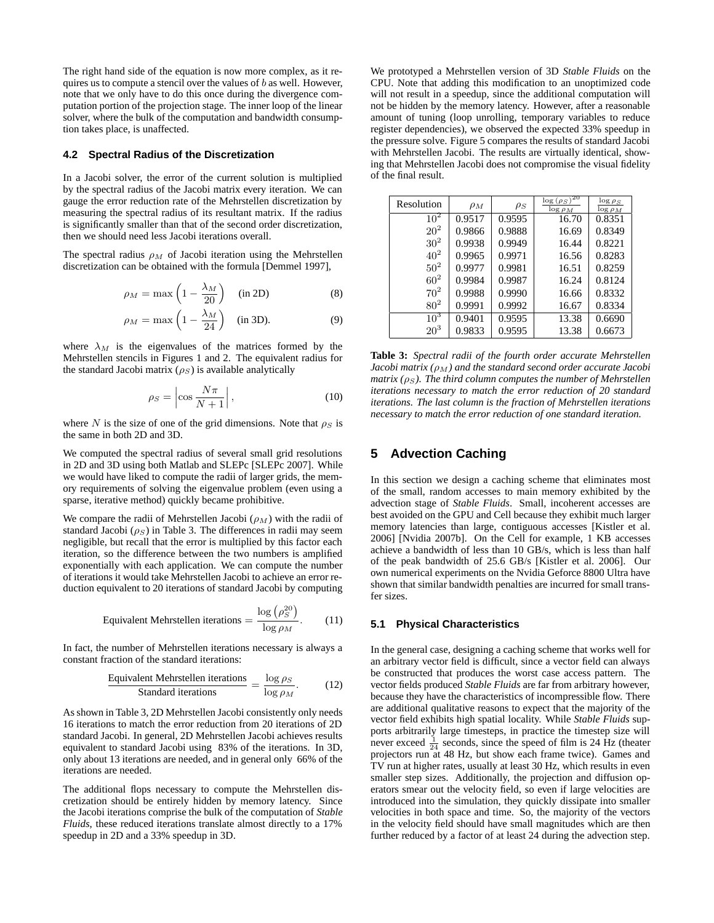The right hand side of the equation is now more complex, as it requires us to compute a stencil over the values of  $b$  as well. However, note that we only have to do this once during the divergence computation portion of the projection stage. The inner loop of the linear solver, where the bulk of the computation and bandwidth consumption takes place, is unaffected.

#### **4.2 Spectral Radius of the Discretization**

In a Jacobi solver, the error of the current solution is multiplied by the spectral radius of the Jacobi matrix every iteration. We can gauge the error reduction rate of the Mehrstellen discretization by measuring the spectral radius of its resultant matrix. If the radius is significantly smaller than that of the second order discretization, then we should need less Jacobi iterations overall.

The spectral radius  $\rho_M$  of Jacobi iteration using the Mehrstellen discretization can be obtained with the formula [Demmel 1997],

$$
\rho_M = \max\left(1 - \frac{\lambda_M}{20}\right) \quad \text{(in 2D)}\tag{8}
$$

$$
\rho_M = \max\left(1 - \frac{\lambda_M}{24}\right) \quad \text{(in 3D)}.
$$
 (9)

where  $\lambda_M$  is the eigenvalues of the matrices formed by the Mehrstellen stencils in Figures 1 and 2. The equivalent radius for the standard Jacobi matrix  $(\rho_S)$  is available analytically

$$
\rho_S = \left| \cos \frac{N\pi}{N+1} \right|,\tag{10}
$$

where N is the size of one of the grid dimensions. Note that  $\rho_S$  is the same in both 2D and 3D.

We computed the spectral radius of several small grid resolutions in 2D and 3D using both Matlab and SLEPc [SLEPc 2007]. While we would have liked to compute the radii of larger grids, the memory requirements of solving the eigenvalue problem (even using a sparse, iterative method) quickly became prohibitive.

We compare the radii of Mehrstellen Jacobi  $(\rho_M)$  with the radii of standard Jacobi ( $\rho_S$ ) in Table 3. The differences in radii may seem negligible, but recall that the error is multiplied by this factor each iteration, so the difference between the two numbers is amplified exponentially with each application. We can compute the number of iterations it would take Mehrstellen Jacobi to achieve an error reduction equivalent to 20 iterations of standard Jacobi by computing

$$
Equivalent Mehrstellen iterations = \frac{\log (\rho_S^{20})}{\log \rho_M}.
$$
 (11)

In fact, the number of Mehrstellen iterations necessary is always a constant fraction of the standard iterations:

$$
\frac{\text{Equivalent Mehrstellen iterations}}{\text{Standard iterations}} = \frac{\log \rho_S}{\log \rho_M}.
$$
 (12)

As shown in Table 3, 2D Mehrstellen Jacobi consistently only needs 16 iterations to match the error reduction from 20 iterations of 2D standard Jacobi. In general, 2D Mehrstellen Jacobi achieves results equivalent to standard Jacobi using 83% of the iterations. In 3D, only about 13 iterations are needed, and in general only 66% of the iterations are needed.

The additional flops necessary to compute the Mehrstellen discretization should be entirely hidden by memory latency. Since the Jacobi iterations comprise the bulk of the computation of *Stable Fluids*, these reduced iterations translate almost directly to a 17% speedup in 2D and a 33% speedup in 3D.

We prototyped a Mehrstellen version of 3D *Stable Fluids* on the CPU. Note that adding this modification to an unoptimized code will not result in a speedup, since the additional computation will not be hidden by the memory latency. However, after a reasonable amount of tuning (loop unrolling, temporary variables to reduce register dependencies), we observed the expected 33% speedup in the pressure solve. Figure 5 compares the results of standard Jacobi with Mehrstellen Jacobi. The results are virtually identical, showing that Mehrstellen Jacobi does not compromise the visual fidelity of the final result.

| Resolution      | $\rho_M$ | $\rho_S$ | $\log(\rho_S)^{20}$<br>$\log \rho_M$ | $\log \rho_S$<br>$\log \rho_M$ |
|-----------------|----------|----------|--------------------------------------|--------------------------------|
| $10^2$          | 0.9517   | 0.9595   | 16.70                                | 0.8351                         |
| $20^{2}$        | 0.9866   | 0.9888   | 16.69                                | 0.8349                         |
| $30^{2}$        | 0.9938   | 0.9949   | 16.44                                | 0.8221                         |
| $40^{2}$        | 0.9965   | 0.9971   | 16.56                                | 0.8283                         |
| $50^{2}$        | 0.9977   | 0.9981   | 16.51                                | 0.8259                         |
| $60^{2}$        | 0.9984   | 0.9987   | 16.24                                | 0.8124                         |
| $70^2$          | 0.9988   | 0.9990   | 16.66                                | 0.8332                         |
| 80 <sup>2</sup> | 0.9991   | 0.9992   | 16.67                                | 0.8334                         |
| $10^3$          | 0.9401   | 0.9595   | 13.38                                | 0.6690                         |
| 20 <sup>3</sup> | 0.9833   | 0.9595   | 13.38                                | 0.6673                         |

**Table 3:** *Spectral radii of the fourth order accurate Mehrstellen Jacobi matrix*  $(\rho_M)$  and the standard second order accurate Jacobi *matrix (* $\rho_S$ *). The third column computes the number of Mehrstellen iterations necessary to match the error reduction of 20 standard iterations. The last column is the fraction of Mehrstellen iterations necessary to match the error reduction of one standard iteration.*

# **5 Advection Caching**

In this section we design a caching scheme that eliminates most of the small, random accesses to main memory exhibited by the advection stage of *Stable Fluids*. Small, incoherent accesses are best avoided on the GPU and Cell because they exhibit much larger memory latencies than large, contiguous accesses [Kistler et al. 2006] [Nvidia 2007b]. On the Cell for example, 1 KB accesses achieve a bandwidth of less than 10 GB/s, which is less than half of the peak bandwidth of 25.6 GB/s [Kistler et al. 2006]. Our own numerical experiments on the Nvidia Geforce 8800 Ultra have shown that similar bandwidth penalties are incurred for small transfer sizes.

#### **5.1 Physical Characteristics**

In the general case, designing a caching scheme that works well for an arbitrary vector field is difficult, since a vector field can always be constructed that produces the worst case access pattern. The vector fields produced *Stable Fluids* are far from arbitrary however, because they have the characteristics of incompressible flow. There are additional qualitative reasons to expect that the majority of the vector field exhibits high spatial locality. While *Stable Fluids* supports arbitrarily large timesteps, in practice the timestep size will never exceed  $\frac{1}{24}$  seconds, since the speed of film is 24 Hz (theater projectors run at 48 Hz, but show each frame twice). Games and TV run at higher rates, usually at least 30 Hz, which results in even smaller step sizes. Additionally, the projection and diffusion operators smear out the velocity field, so even if large velocities are introduced into the simulation, they quickly dissipate into smaller velocities in both space and time. So, the majority of the vectors in the velocity field should have small magnitudes which are then further reduced by a factor of at least 24 during the advection step.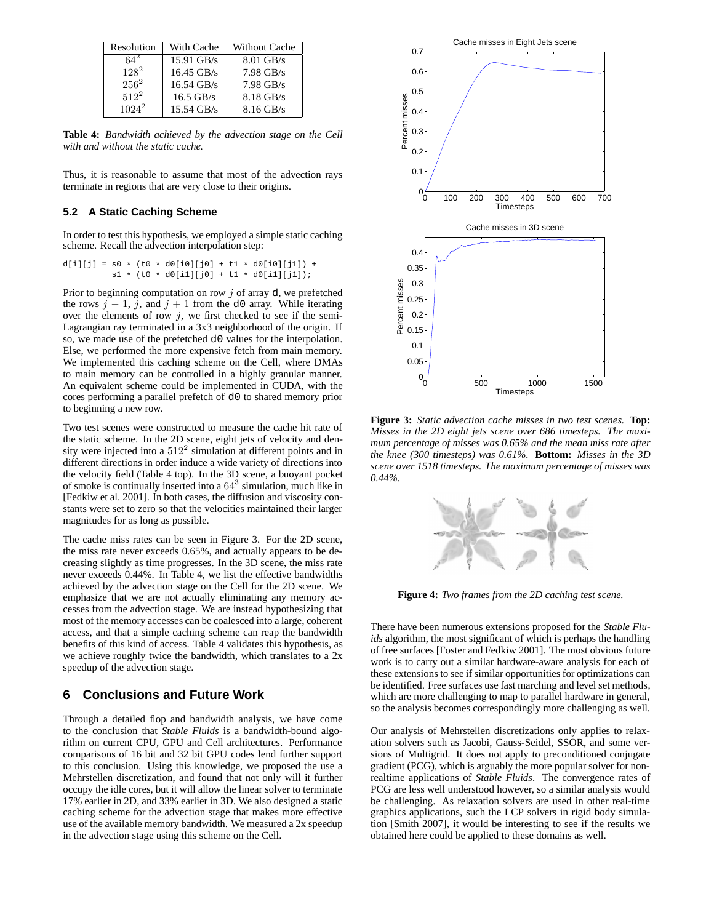| Resolution | With Cache           | <b>Without Cache</b> |
|------------|----------------------|----------------------|
| $64^2$     | $15.91$ GB/s         | $8.01$ GB/s          |
| $128^2$    | $16.45$ GB/s         | $7.98$ GB/s          |
| $256^2$    | $16.54$ GB/s         | $7.98$ GB/s          |
| $512^2$    | $16.5$ GB/s          | 8.18 GB/s            |
| $1024^2$   | $15.54 \text{ GB/s}$ | $8.16$ GB/s          |

**Table 4:** *Bandwidth achieved by the advection stage on the Cell with and without the static cache.*

Thus, it is reasonable to assume that most of the advection rays terminate in regions that are very close to their origins.

### **5.2 A Static Caching Scheme**

In order to test this hypothesis, we employed a simple static caching scheme. Recall the advection interpolation step:

 $d[i][j] = s0 * (t0 * d0[i0][j0] + t1 * d0[i0][j1]) +$  $s1 * (t0 * d0[i1][j0] + t1 * d0[i1][j1]);$ 

Prior to beginning computation on row  $j$  of array d, we prefetched the rows  $j - 1$ , j, and  $j + 1$  from the d0 array. While iterating over the elements of row  $j$ , we first checked to see if the semi-Lagrangian ray terminated in a 3x3 neighborhood of the origin. If so, we made use of the prefetched d0 values for the interpolation. Else, we performed the more expensive fetch from main memory. We implemented this caching scheme on the Cell, where DMAs to main memory can be controlled in a highly granular manner. An equivalent scheme could be implemented in CUDA, with the cores performing a parallel prefetch of d0 to shared memory prior to beginning a new row.

Two test scenes were constructed to measure the cache hit rate of the static scheme. In the 2D scene, eight jets of velocity and density were injected into a  $512^2$  simulation at different points and in different directions in order induce a wide variety of directions into the velocity field (Table 4 top). In the 3D scene, a buoyant pocket of smoke is continually inserted into a  $64^3$  simulation, much like in [Fedkiw et al. 2001]. In both cases, the diffusion and viscosity constants were set to zero so that the velocities maintained their larger magnitudes for as long as possible.

The cache miss rates can be seen in Figure 3. For the 2D scene, the miss rate never exceeds 0.65%, and actually appears to be decreasing slightly as time progresses. In the 3D scene, the miss rate never exceeds 0.44%. In Table 4, we list the effective bandwidths achieved by the advection stage on the Cell for the 2D scene. We emphasize that we are not actually eliminating any memory accesses from the advection stage. We are instead hypothesizing that most of the memory accesses can be coalesced into a large, coherent access, and that a simple caching scheme can reap the bandwidth benefits of this kind of access. Table 4 validates this hypothesis, as we achieve roughly twice the bandwidth, which translates to a 2x speedup of the advection stage.

### **6 Conclusions and Future Work**

Through a detailed flop and bandwidth analysis, we have come to the conclusion that *Stable Fluids* is a bandwidth-bound algorithm on current CPU, GPU and Cell architectures. Performance comparisons of 16 bit and 32 bit GPU codes lend further support to this conclusion. Using this knowledge, we proposed the use a Mehrstellen discretization, and found that not only will it further occupy the idle cores, but it will allow the linear solver to terminate 17% earlier in 2D, and 33% earlier in 3D. We also designed a static caching scheme for the advection stage that makes more effective use of the available memory bandwidth. We measured a 2x speedup in the advection stage using this scheme on the Cell.



**Figure 3:** *Static advection cache misses in two test scenes.* **Top:** *Misses in the 2D eight jets scene over 686 timesteps. The maximum percentage of misses was 0.65% and the mean miss rate after the knee (300 timesteps) was 0.61%.* **Bottom:** *Misses in the 3D scene over 1518 timesteps. The maximum percentage of misses was 0.44%.*



**Figure 4:** *Two frames from the 2D caching test scene.*

There have been numerous extensions proposed for the *Stable Fluids* algorithm, the most significant of which is perhaps the handling of free surfaces [Foster and Fedkiw 2001]. The most obvious future work is to carry out a similar hardware-aware analysis for each of these extensions to see if similar opportunities for optimizations can be identified. Free surfaces use fast marching and level set methods, which are more challenging to map to parallel hardware in general, so the analysis becomes correspondingly more challenging as well.

Our analysis of Mehrstellen discretizations only applies to relaxation solvers such as Jacobi, Gauss-Seidel, SSOR, and some versions of Multigrid. It does not apply to preconditioned conjugate gradient (PCG), which is arguably the more popular solver for nonrealtime applications of *Stable Fluids*. The convergence rates of PCG are less well understood however, so a similar analysis would be challenging. As relaxation solvers are used in other real-time graphics applications, such the LCP solvers in rigid body simulation [Smith 2007], it would be interesting to see if the results we obtained here could be applied to these domains as well.